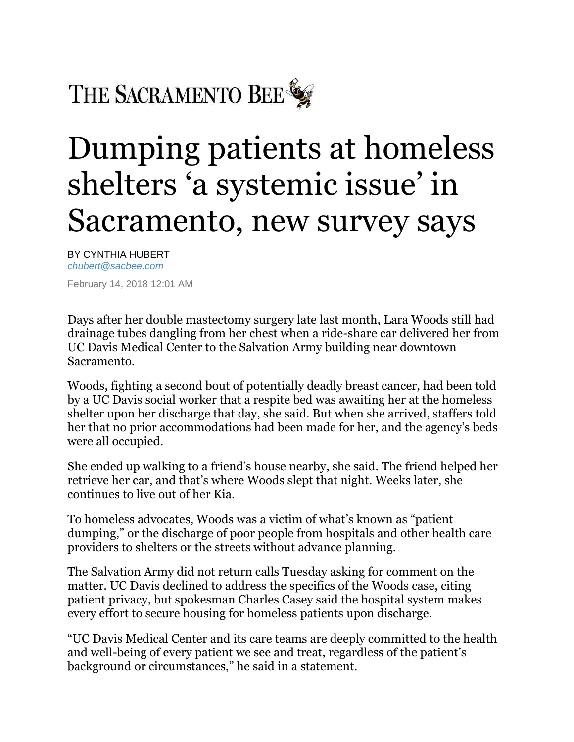THE SACRAMENTO BEE

## Dumping patients at homeless shelters 'a systemic issue' in Sacramento, new survey says

BY CYNTHIA HUBERT *[chubert@sacbee.com](mailto:chubert@sacbee.com)*

February 14, 2018 12:01 AM

Days after her double mastectomy surgery late last month, Lara Woods still had drainage tubes dangling from her chest when a ride-share car delivered her from UC Davis Medical Center to the Salvation Army building near downtown Sacramento.

Woods, fighting a second bout of potentially deadly breast cancer, had been told by a UC Davis social worker that a respite bed was awaiting her at the homeless shelter upon her discharge that day, she said. But when she arrived, staffers told her that no prior accommodations had been made for her, and the agency's beds were all occupied.

She ended up walking to a friend's house nearby, she said. The friend helped her retrieve her car, and that's where Woods slept that night. Weeks later, she continues to live out of her Kia.

To homeless advocates, Woods was a victim of what's known as "patient dumping," or the discharge of poor people from hospitals and other health care providers to shelters or the streets without advance planning.

The Salvation Army did not return calls Tuesday asking for comment on the matter. UC Davis declined to address the specifics of the Woods case, citing patient privacy, but spokesman Charles Casey said the hospital system makes every effort to secure housing for homeless patients upon discharge.

"UC Davis Medical Center and its care teams are deeply committed to the health and well-being of every patient we see and treat, regardless of the patient's background or circumstances," he said in a statement.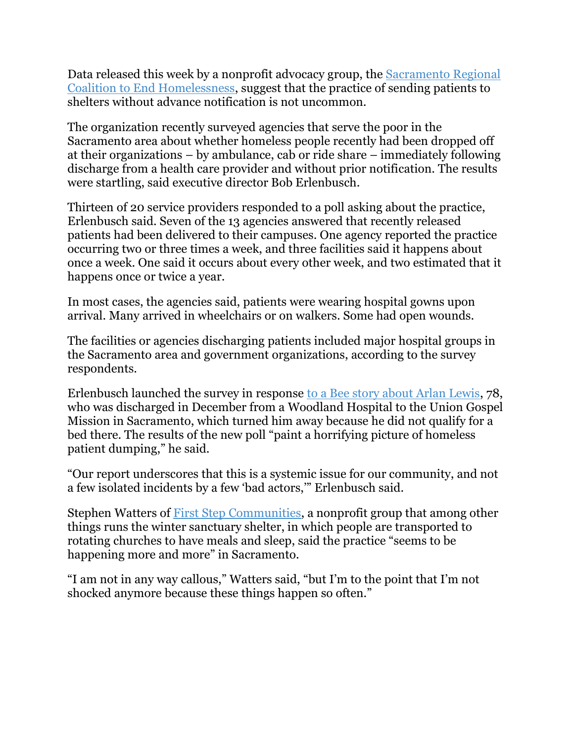Data released this week by a nonprofit advocacy group, the [Sacramento Regional](https://www.srceh.org/)  [Coalition to End Homelessness,](https://www.srceh.org/) suggest that the practice of sending patients to shelters without advance notification is not uncommon.

The organization recently surveyed agencies that serve the poor in the Sacramento area about whether homeless people recently had been dropped off at their organizations – by ambulance, cab or ride share – immediately following discharge from a health care provider and without prior notification. The results were startling, said executive director Bob Erlenbusch.

Thirteen of 20 service providers responded to a poll asking about the practice, Erlenbusch said. Seven of the 13 agencies answered that recently released patients had been delivered to their campuses. One agency reported the practice occurring two or three times a week, and three facilities said it happens about once a week. One said it occurs about every other week, and two estimated that it happens once or twice a year.

In most cases, the agencies said, patients were wearing hospital gowns upon arrival. Many arrived in wheelchairs or on walkers. Some had open wounds.

The facilities or agencies discharging patients included major hospital groups in the Sacramento area and government organizations, according to the survey respondents.

Erlenbusch launched the survey in response [to a Bee story about Arlan Lewis,](http://www.sacbee.com/news/local/homeless/article193308479.html) 78, who was discharged in December from a Woodland Hospital to the Union Gospel Mission in Sacramento, which turned him away because he did not qualify for a bed there. The results of the new poll "paint a horrifying picture of homeless patient dumping," he said.

"Our report underscores that this is a systemic issue for our community, and not a few isolated incidents by a few 'bad actors,'" Erlenbusch said.

Stephen Watters of [First Step Communities,](https://www.firststepcommunities.org/) a nonprofit group that among other things runs the winter sanctuary shelter, in which people are transported to rotating churches to have meals and sleep, said the practice "seems to be happening more and more" in Sacramento.

"I am not in any way callous," Watters said, "but I'm to the point that I'm not shocked anymore because these things happen so often."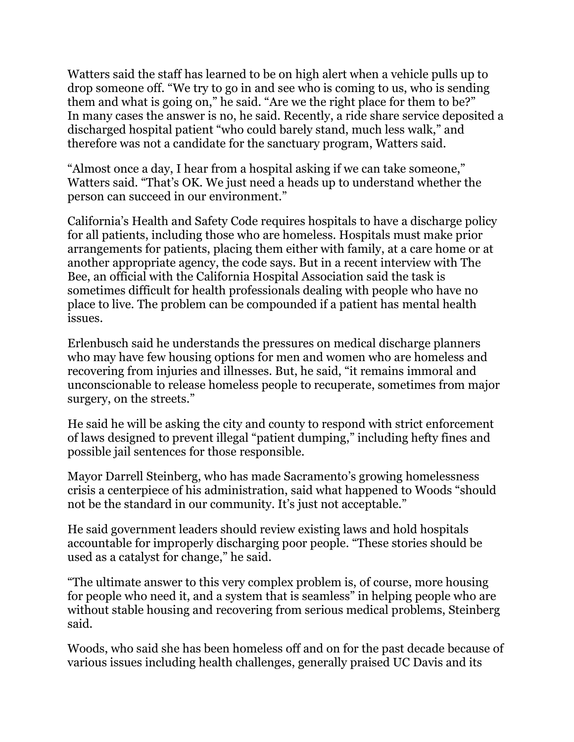Watters said the staff has learned to be on high alert when a vehicle pulls up to drop someone off. "We try to go in and see who is coming to us, who is sending them and what is going on," he said. "Are we the right place for them to be?" In many cases the answer is no, he said. Recently, a ride share service deposited a discharged hospital patient "who could barely stand, much less walk," and therefore was not a candidate for the sanctuary program, Watters said.

"Almost once a day, I hear from a hospital asking if we can take someone," Watters said. "That's OK. We just need a heads up to understand whether the person can succeed in our environment."

California's Health and Safety Code requires hospitals to have a discharge policy for all patients, including those who are homeless. Hospitals must make prior arrangements for patients, placing them either with family, at a care home or at another appropriate agency, the code says. But in a recent interview with The Bee, an official with the California Hospital Association said the task is sometimes difficult for health professionals dealing with people who have no place to live. The problem can be compounded if a patient has mental health issues.

Erlenbusch said he understands the pressures on medical discharge planners who may have few housing options for men and women who are homeless and recovering from injuries and illnesses. But, he said, "it remains immoral and unconscionable to release homeless people to recuperate, sometimes from major surgery, on the streets."

He said he will be asking the city and county to respond with strict enforcement of laws designed to prevent illegal "patient dumping," including hefty fines and possible jail sentences for those responsible.

Mayor Darrell Steinberg, who has made Sacramento's growing homelessness crisis a centerpiece of his administration, said what happened to Woods "should not be the standard in our community. It's just not acceptable."

He said government leaders should review existing laws and hold hospitals accountable for improperly discharging poor people. "These stories should be used as a catalyst for change," he said.

"The ultimate answer to this very complex problem is, of course, more housing for people who need it, and a system that is seamless" in helping people who are without stable housing and recovering from serious medical problems, Steinberg said.

Woods, who said she has been homeless off and on for the past decade because of various issues including health challenges, generally praised UC Davis and its